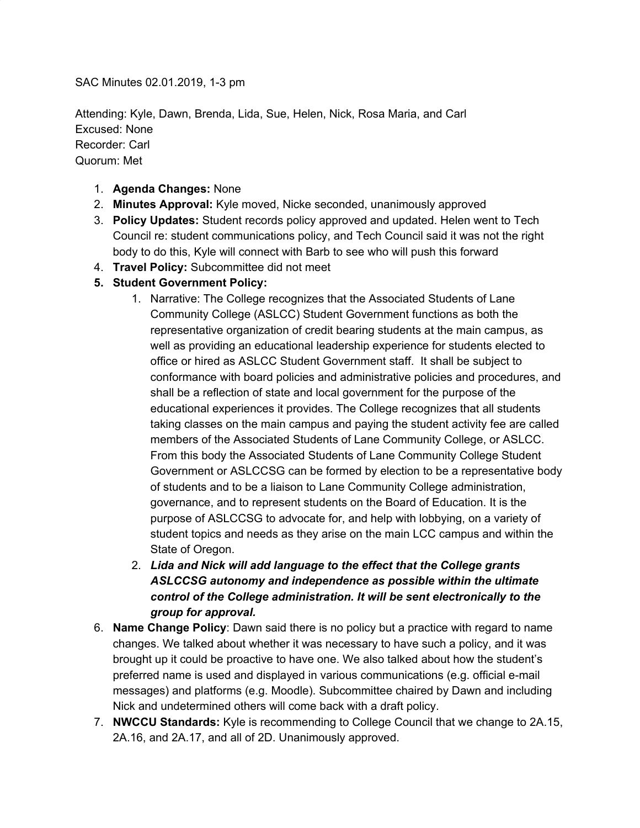SAC Minutes 02.01.2019, 1-3 pm

Attending: Kyle, Dawn, Brenda, Lida, Sue, Helen, Nick, Rosa Maria, and Carl Excused: None Recorder: Carl Quorum: Met

- 1. **Agenda Changes:** None
- 2. **Minutes Approval:** Kyle moved, Nicke seconded, unanimously approved
- 3. **Policy Updates:** Student records policy approved and updated. Helen went to Tech Council re: student communications policy, and Tech Council said it was not the right body to do this, Kyle will connect with Barb to see who will push this forward
- 4. **Travel Policy:** Subcommittee did not meet
- **5. Student Government Policy:**
	- 1. Narrative: The College recognizes that the Associated Students of Lane Community College (ASLCC) Student Government functions as both the representative organization of credit bearing students at the main campus, as well as providing an educational leadership experience for students elected to office or hired as ASLCC Student Government staff. It shall be subject to conformance with board policies and administrative policies and procedures, and shall be a reflection of state and local government for the purpose of the educational experiences it provides. The College recognizes that all students taking classes on the main campus and paying the student activity fee are called members of the Associated Students of Lane Community College, or ASLCC. From this body the Associated Students of Lane Community College Student Government or ASLCCSG can be formed by election to be a representative body of students and to be a liaison to Lane Community College administration, governance, and to represent students on the Board of Education. It is the purpose of ASLCCSG to advocate for, and help with lobbying, on a variety of student topics and needs as they arise on the main LCC campus and within the State of Oregon.
	- 2. *Lida and Nick will add language to the effect that the College grants ASLCCSG autonomy and independence as possible within the ultimate control of the College administration. It will be sent electronically to the group for approval.*
- 6. **Name Change Policy**: Dawn said there is no policy but a practice with regard to name changes. We talked about whether it was necessary to have such a policy, and it was brought up it could be proactive to have one. We also talked about how the student's preferred name is used and displayed in various communications (e.g. official e-mail messages) and platforms (e.g. Moodle). Subcommittee chaired by Dawn and including Nick and undetermined others will come back with a draft policy.
- 7. **NWCCU Standards:** Kyle is recommending to College Council that we change to 2A.15, 2A.16, and 2A.17, and all of 2D. Unanimously approved.